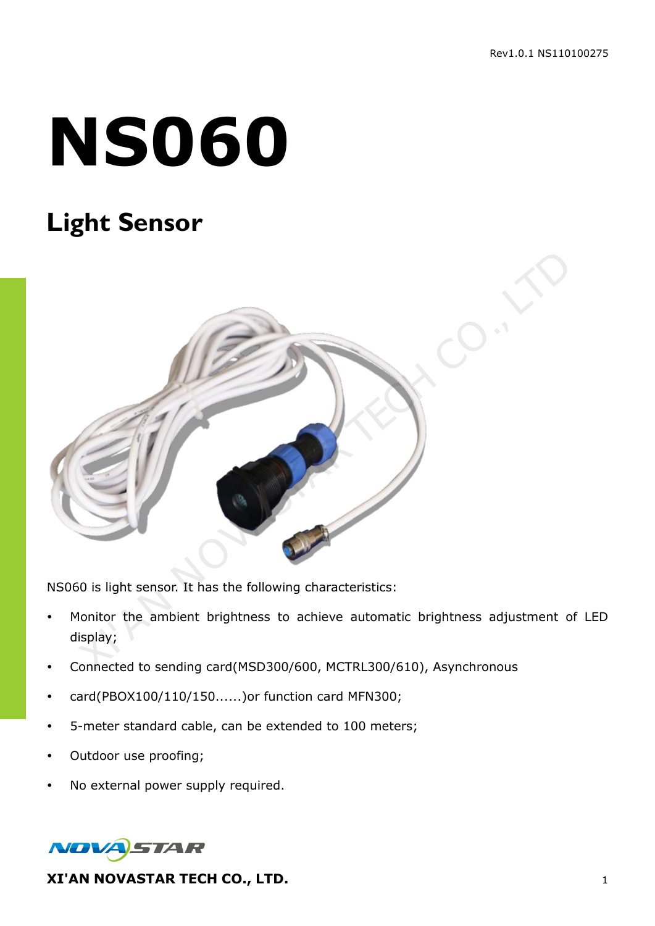# **NS060**

## **Light Sensor**



NS060 is light sensor. It has the following characteristics:

- Monitor the ambient brightness to achieve automatic brightness adjustment of LED display;
- Connected to sending card(MSD300/600, MCTRL300/610), Asynchronous
- card(PBOX100/110/150......)or function card MFN300;
- 5-meter standard cable, can be extended to 100 meters;
- Outdoor use proofing;
- No external power supply required.



**XI'AN NOVASTAR TECH CO., LTD.** 1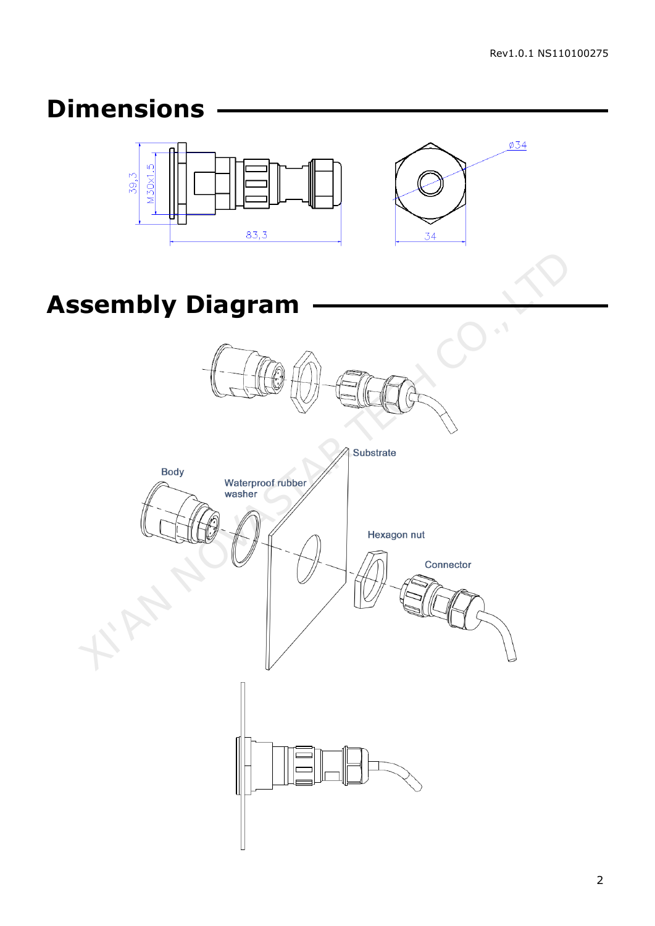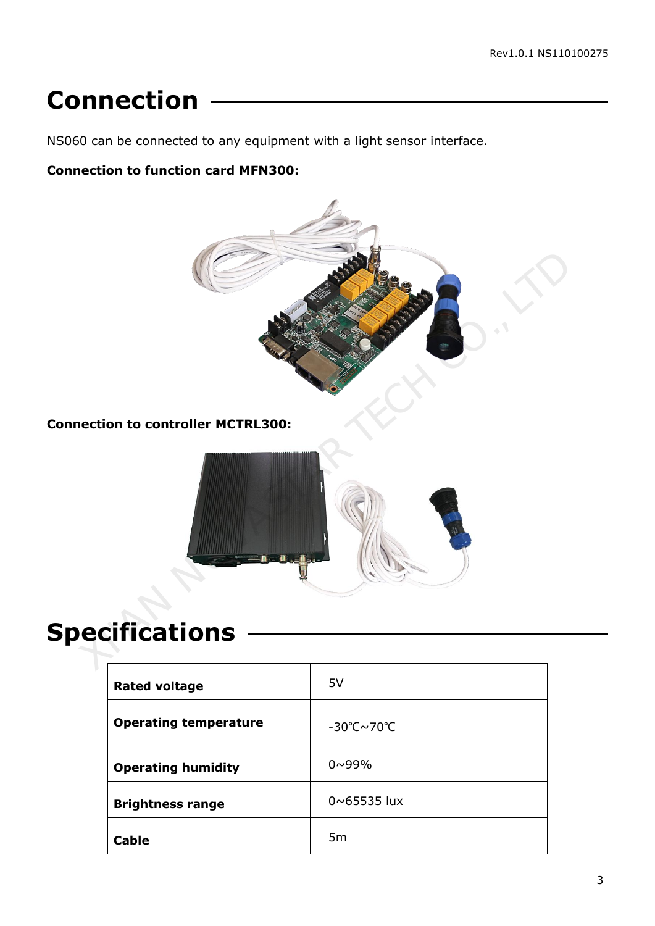### **Connection**

NS060 can be connected to any equipment with a light sensor interface.

#### **Connection to function card MFN300:**



**Connection to controller MCTRL300:** 



# **Specifications**

| <b>Rated voltage</b>         | 5V                                     |
|------------------------------|----------------------------------------|
| <b>Operating temperature</b> | $-30^{\circ}$ C $\sim$ 70 $^{\circ}$ C |
| <b>Operating humidity</b>    | $0 \sim 99\%$                          |
| <b>Brightness range</b>      | $0 \sim 65535$ lux                     |
| <b>Cable</b>                 | 5 <sub>m</sub>                         |